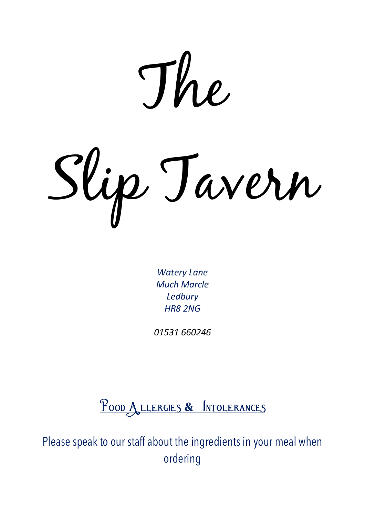The

Slip Tavern

*Watery Lane Much Marcle Ledbury HR8 2NG*

*01531 660246*

Food Allergies **&** Intolerances

Please speak to our staff about the ingredients in your meal when ordering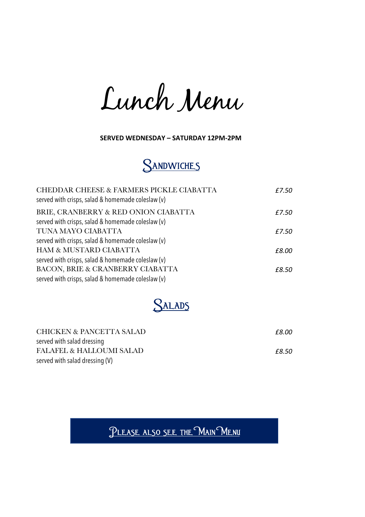Lunch Menu

**SERVED WEDNESDAY – SATURDAY 12PM-2PM**



| CHEDDAR CHEESE & FARMERS PICKLE CIABATTA<br>served with crisps, salad & homemade coleslaw (v) | £7.50 |
|-----------------------------------------------------------------------------------------------|-------|
| BRIE, CRANBERRY & RED ONION CIABATTA                                                          | £7.50 |
| served with crisps, salad & homemade coleslaw (v)                                             |       |
| TUNA MAYO CIABATTA                                                                            | £7.50 |
| served with crisps, salad & homemade coleslaw (v)                                             |       |
| HAM & MUSTARD CIABATTA                                                                        | £8.00 |
| served with crisps, salad & homemade coleslaw (v)                                             |       |
| BACON, BRIE & CRANBERRY CIABATTA                                                              | £8.50 |
| served with crisps, salad & homemade coleslaw (v)                                             |       |

**SALADS** 

| CHICKEN & PANCETTA SALAD            | £8.00 |
|-------------------------------------|-------|
| served with salad dressing          |       |
| <b>FALAFEL &amp; HALLOUMI SALAD</b> | £8.50 |
| served with salad dressing (V)      |       |

PLEASE ALSO SEE THE MAIN MENU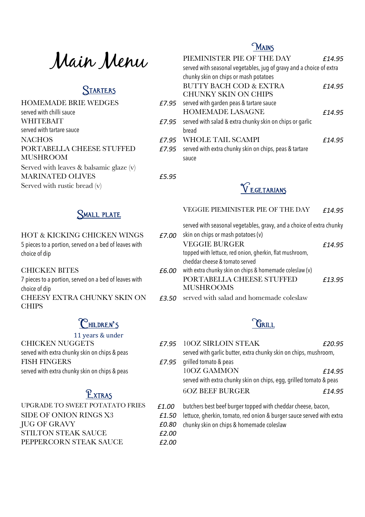Main Menu

| <b>HOMEMADE BRIE WEDGES</b>                  |       | £7.95 served with garden peas & tartare sauce                    |
|----------------------------------------------|-------|------------------------------------------------------------------|
| served with chilli sauce                     |       | <b>HOMEMADE LASAGNE</b>                                          |
| <b>WHITEBAIT</b>                             |       | $E7.95$ served with salad & extra chunky skin on chips or garlic |
| served with tartare sauce                    |       | bread                                                            |
| <b>NACHOS</b>                                |       | £7.95 WHOLE TAIL SCAMPI                                          |
| PORTABELLA CHEESE STUFFED                    |       | $E7.95$ served with extra chunky skin on chips, peas & tartare   |
| <b>MUSHROOM</b>                              |       | sauce                                                            |
| Served with leaves $\&$ balsamic glaze $(v)$ |       |                                                                  |
| <b>MARINATED OLIVES</b>                      | £5.95 |                                                                  |
| Served with rustic bread $(v)$               |       | V F GF TARIANS                                                   |

## **MAINS**

| Main Menu                   |       | PIEMINISTER PIE OF THE DAY                                                                                   | £14.95 |
|-----------------------------|-------|--------------------------------------------------------------------------------------------------------------|--------|
|                             |       | served with seasonal vegetables, jug of gravy and a choice of extra<br>chunky skin on chips or mash potatoes |        |
| STARTERS                    |       | <b>BUTTY BACH COD &amp; EXTRA</b>                                                                            | £14.95 |
| <b>HOMEMADE BRIE WEDGES</b> | £7.95 | <b>CHUNKY SKIN ON CHIPS</b><br>served with garden peas & tartare sauce                                       |        |
| served with chilli sauce    |       | <b>HOMEMADE LASAGNE</b>                                                                                      | £14.95 |
| WHITEBAIT                   | £7.95 | served with salad & extra chunky skin on chips or garlic                                                     |        |
| served with tartare sauce   |       | bread                                                                                                        |        |
| <b>NACHOS</b>               | f7.95 | WHOLE TAIL SCAMPI                                                                                            | £14.95 |
| PORTABELLA CHEESE STUFFED   | £7.95 | served with extra chunky skin on chips, peas & tartare                                                       |        |
| MUSHROOM                    |       | sauce                                                                                                        |        |
|                             |       |                                                                                                              |        |



### HOT & KICKING CHICKEN WINGS *£7.00* skin on chips or mash potatoes (v) 5 pieces to a portion, served on a bed of leaves with choice of dip

#### CHICKEN BITES *£6.00* with extra chunky skin on chips & homemade coleslaw (v)

7 pieces to a portion, served on a bed of leaves with choice of dip CHEESY EXTRA CHUNKY SKIN ON **CHIPS** 

## Children**'**s

#### 11 years & under

| <b>CHICKEN NUGGETS</b>                        | $E7.95$ 10OZ SIRLOIN          |
|-----------------------------------------------|-------------------------------|
| served with extra chunky skin on chips & peas | served with garlic but        |
| <b>FISH FINGERS</b>                           | $E7.95$ qrilled tomato & peas |
| served with extra chunky skin on chips & peas | 10OZ GAMMO                    |

| <b>SIDE OF ONION RINGS X3</b> | £1.00 |
|-------------------------------|-------|
|                               | £1.50 |
| <b>JUG OF GRAVY</b>           | £0.80 |
| <b>STILTON STEAK SAUCE</b>    | £2.00 |
| PEPPERCORN STEAK SAUCE        | £2.00 |

Small plate VEGGIE PIEMINISTER PIE OF THE DAY *£14.95*

served with seasonal vegetables, gravy, and a choice of extra chunky

|       | <b>VEGGIE BURGER</b>                                    | £14.95 |
|-------|---------------------------------------------------------|--------|
|       | topped with lettuce, red onion, gherkin, flat mushroom, |        |
|       | cheddar cheese & tomato served                          |        |
| 6.00: | with extra chunky skin on chips & homemade coleslaw (v) |        |
|       | PORTABELLA CHEESE STUFFED                               | £13.95 |
|       | <b>MUSHROOMS</b>                                        |        |
|       |                                                         |        |

*£3.50* served with salad and homemade coleslaw

## **GRILL**

| <b>CHICKEN NUGGETS</b>                        |       | £7.95 10OZ SIRLOIN STEAK                                           | £20.95 |
|-----------------------------------------------|-------|--------------------------------------------------------------------|--------|
| served with extra chunky skin on chips & peas |       | served with garlic butter, extra chunky skin on chips, mushroom,   |        |
| <b>FISH FINGERS</b>                           | £7.95 | grilled tomato & peas                                              |        |
| served with extra chunky skin on chips & peas |       | 10OZ GAMMON                                                        | £14.95 |
|                                               |       | served with extra chunky skin on chips, egg, grilled tomato & peas |        |
| EXTRAS                                        |       | <b>6OZ BEEF BURGER</b>                                             | £14.95 |

- 1.00 butchers best beef burger topped with cheddar cheese, bacon,
	- lettuce, gherkin, tomato, red onion & burger sauce served with extra
- chunky skin on chips & homemade coleslaw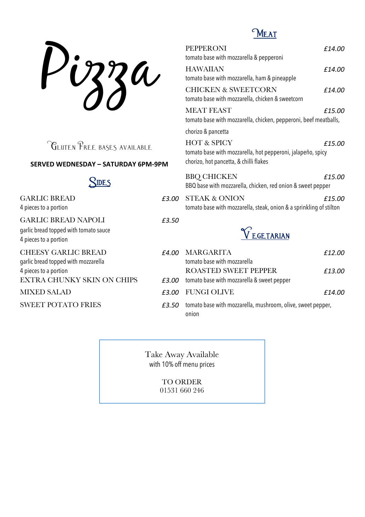Pizza

## Meat

| 33a                                                               |       | <b>PEPPERONI</b><br>tomato base with mozzarella & pepperoni<br><b>HAWAIIAN</b><br>tomato base with mozzarella, ham & pineapple | £14.00<br>£14.00 |
|-------------------------------------------------------------------|-------|--------------------------------------------------------------------------------------------------------------------------------|------------------|
|                                                                   |       | <b>CHICKEN &amp; SWEETCORN</b><br>tomato base with mozzarella, chicken & sweetcorn                                             | £14.00           |
|                                                                   |       | <b>MEAT FEAST</b><br>tomato base with mozzarella, chicken, pepperoni, beef meatballs,                                          | £15.00           |
|                                                                   |       | chorizo & pancetta                                                                                                             |                  |
| <b>CLUTEN PREE BASES AVAILABLE</b>                                |       | <b>HOT &amp; SPICY</b><br>tomato base with mozzarella, hot pepperoni, jalapeño, spicy                                          | £15.00           |
| <b>SERVED WEDNESDAY - SATURDAY 6PM-9PM</b>                        |       | chorizo, hot pancetta, & chilli flakes                                                                                         |                  |
| SIDES                                                             |       | <b>BBQ CHICKEN</b><br>BBQ base with mozzarella, chicken, red onion & sweet pepper                                              | £15.00           |
| <b>GARLIC BREAD</b><br>4 pieces to a portion                      | £3.00 | <b>STEAK &amp; ONION</b><br>tomato base with mozzarella, steak, onion & a sprinkling of stilton                                | £15.00           |
| <b>GARLIC BREAD NAPOLI</b>                                        | £3.50 |                                                                                                                                |                  |
| garlic bread topped with tomato sauce<br>4 pieces to a portion    |       | VEGETARIAN                                                                                                                     |                  |
| <b>CHEESY GARLIC BREAD</b><br>garlic bread topped with mozzarella | £4.00 | <b>MARGARITA</b><br>tomato base with mozzarella                                                                                | £12.00           |
| 4 pieces to a portion                                             |       | <b>ROASTED SWEET PEPPER</b>                                                                                                    | £13.00           |
| <b>EXTRA CHUNKY SKIN ON CHIPS</b>                                 | £3.00 | tomato base with mozzarella & sweet pepper                                                                                     |                  |
| <b>MIXED SALAD</b>                                                | £3.00 | <b>FUNGI OLIVE</b>                                                                                                             | £14.00           |

SWEET POTATO FRIES *£3.50* tomato base with mozzarella, mushroom, olive, sweet pepper, onion

> Take Away Available with 10% off menu prices

> > TO ORDER 01531 660 246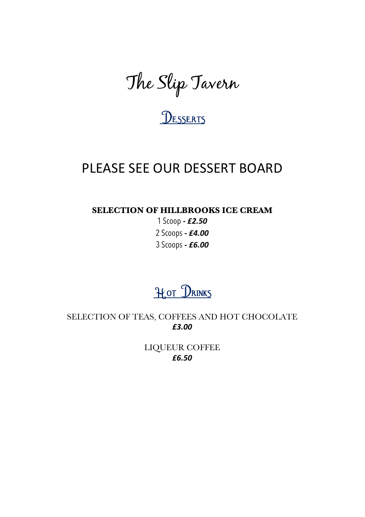The Slip Tavern

# **UESSERTS**

# PLEASE SEE OUR DESSERT BOARD

**SELECTION OF HILLBROOKS ICE CREAM**

1 Scoop *- £2.50* 2 Scoops *- £4.00* 3 Scoops *- £6.00*

# Hot DRINKS

SELECTION OF TEAS, COFFEES AND HOT CHOCOLATE *£3.00*

> LIQUEUR COFFEE *£6.50*